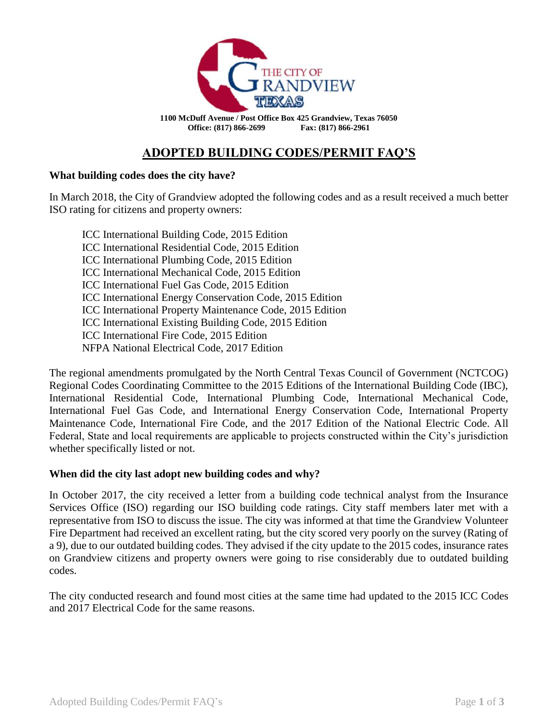

**1100 McDuff Avenue / Post Office Box 425 Grandview, Texas 76050 Office: (817) 866-2699 Fax: (817) 866-2961**

# **ADOPTED BUILDING CODES/PERMIT FAQ'S**

## **What building codes does the city have?**

In March 2018, the City of Grandview adopted the following codes and as a result received a much better ISO rating for citizens and property owners:

ICC International Building Code, 2015 Edition ICC International Residential Code, 2015 Edition ICC International Plumbing Code, 2015 Edition ICC International Mechanical Code, 2015 Edition ICC International Fuel Gas Code, 2015 Edition ICC International Energy Conservation Code, 2015 Edition ICC International Property Maintenance Code, 2015 Edition ICC International Existing Building Code, 2015 Edition ICC International Fire Code, 2015 Edition NFPA National Electrical Code, 2017 Edition

The regional amendments promulgated by the North Central Texas Council of Government (NCTCOG) Regional Codes Coordinating Committee to the 2015 Editions of the International Building Code (IBC), International Residential Code, International Plumbing Code, International Mechanical Code, International Fuel Gas Code, and International Energy Conservation Code, International Property Maintenance Code, International Fire Code, and the 2017 Edition of the National Electric Code. All Federal, State and local requirements are applicable to projects constructed within the City's jurisdiction whether specifically listed or not.

#### **When did the city last adopt new building codes and why?**

In October 2017, the city received a letter from a building code technical analyst from the Insurance Services Office (ISO) regarding our ISO building code ratings. City staff members later met with a representative from ISO to discuss the issue. The city was informed at that time the Grandview Volunteer Fire Department had received an excellent rating, but the city scored very poorly on the survey (Rating of a 9), due to our outdated building codes. They advised if the city update to the 2015 codes, insurance rates on Grandview citizens and property owners were going to rise considerably due to outdated building codes.

The city conducted research and found most cities at the same time had updated to the 2015 ICC Codes and 2017 Electrical Code for the same reasons.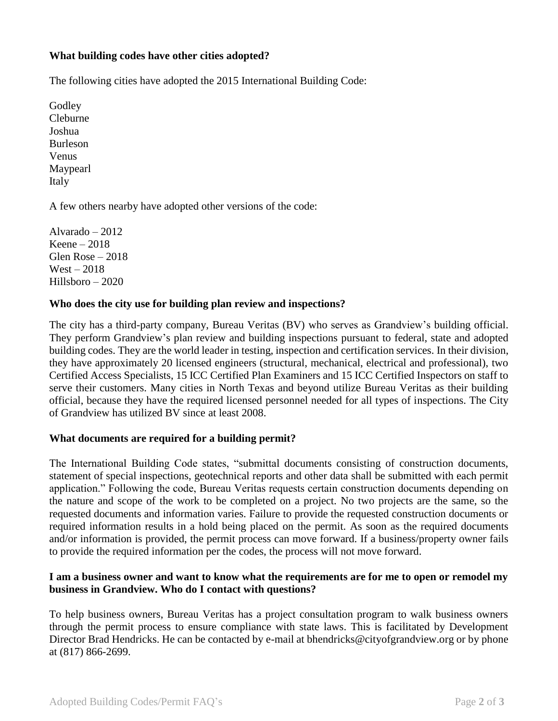## **What building codes have other cities adopted?**

The following cities have adopted the 2015 International Building Code:

**Godley** Cleburne Joshua Burleson Venus Maypearl Italy

A few others nearby have adopted other versions of the code:

Alvarado – 2012 Keene – 2018 Glen Rose – 2018  $West - 2018$ Hillsboro – 2020

#### **Who does the city use for building plan review and inspections?**

The city has a third-party company, Bureau Veritas (BV) who serves as Grandview's building official. They perform Grandview's plan review and building inspections pursuant to federal, state and adopted building codes. They are the world leader in testing, inspection and certification services. In their division, they have approximately 20 licensed engineers (structural, mechanical, electrical and professional), two Certified Access Specialists, 15 ICC Certified Plan Examiners and 15 ICC Certified Inspectors on staff to serve their customers. Many cities in North Texas and beyond utilize Bureau Veritas as their building official, because they have the required licensed personnel needed for all types of inspections. The City of Grandview has utilized BV since at least 2008.

#### **What documents are required for a building permit?**

The International Building Code states, "submittal documents consisting of construction documents, statement of special inspections, geotechnical reports and other data shall be submitted with each permit application." Following the code, Bureau Veritas requests certain construction documents depending on the nature and scope of the work to be completed on a project. No two projects are the same, so the requested documents and information varies. Failure to provide the requested construction documents or required information results in a hold being placed on the permit. As soon as the required documents and/or information is provided, the permit process can move forward. If a business/property owner fails to provide the required information per the codes, the process will not move forward.

#### **I am a business owner and want to know what the requirements are for me to open or remodel my business in Grandview. Who do I contact with questions?**

To help business owners, Bureau Veritas has a project consultation program to walk business owners through the permit process to ensure compliance with state laws. This is facilitated by Development Director Brad Hendricks. He can be contacted by e-mail at bhendricks@cityofgrandview.org or by phone at (817) 866-2699.